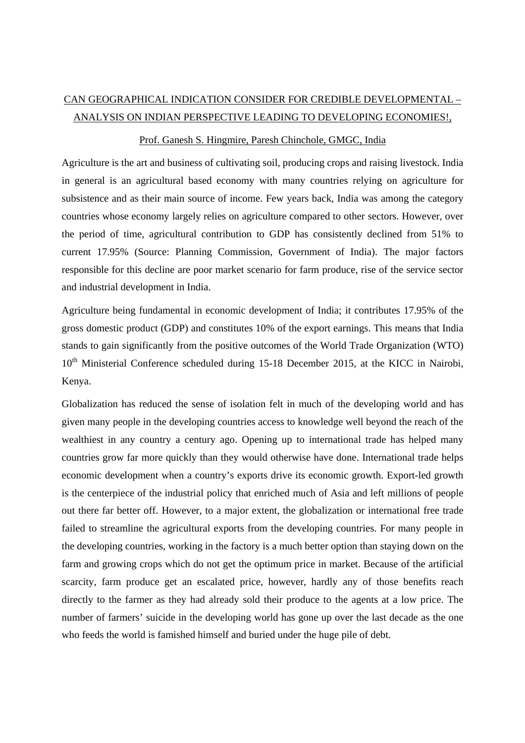## CAN GEOGRAPHICAL INDICATION CONSIDER FOR CREDIBLE DEVELOPMENTAL – ANALYSIS ON INDIAN PERSPECTIVE LEADING TO DEVELOPING ECONOMIES!,

## Prof. Ganesh S. Hingmire, Paresh Chinchole, GMGC, India

Agriculture is the art and business of cultivating soil, producing crops and raising livestock. India in general is an agricultural based economy with many countries relying on agriculture for subsistence and as their main source of income. Few years back, India was among the category countries whose economy largely relies on agriculture compared to other sectors. However, over the period of time, agricultural contribution to GDP has consistently declined from 51% to current 17.95% (Source: Planning Commission, Government of India). The major factors responsible for this decline are poor market scenario for farm produce, rise of the service sector and industrial development in India.

Agriculture being fundamental in economic development of India; it contributes 17.95% of the gross domestic product (GDP) and constitutes 10% of the export earnings. This means that India stands to gain significantly from the positive outcomes of the World Trade Organization (WTO) 10<sup>th</sup> Ministerial Conference scheduled during 15-18 December 2015, at the KICC in Nairobi, Kenya.

Globalization has reduced the sense of isolation felt in much of the developing world and has given many people in the developing countries access to knowledge well beyond the reach of the wealthiest in any country a century ago. Opening up to international trade has helped many countries grow far more quickly than they would otherwise have done. International trade helps economic development when a country's exports drive its economic growth. Export-led growth is the centerpiece of the industrial policy that enriched much of Asia and left millions of people out there far better off. However, to a major extent, the globalization or international free trade failed to streamline the agricultural exports from the developing countries. For many people in the developing countries, working in the factory is a much better option than staying down on the farm and growing crops which do not get the optimum price in market. Because of the artificial scarcity, farm produce get an escalated price, however, hardly any of those benefits reach directly to the farmer as they had already sold their produce to the agents at a low price. The number of farmers' suicide in the developing world has gone up over the last decade as the one who feeds the world is famished himself and buried under the huge pile of debt.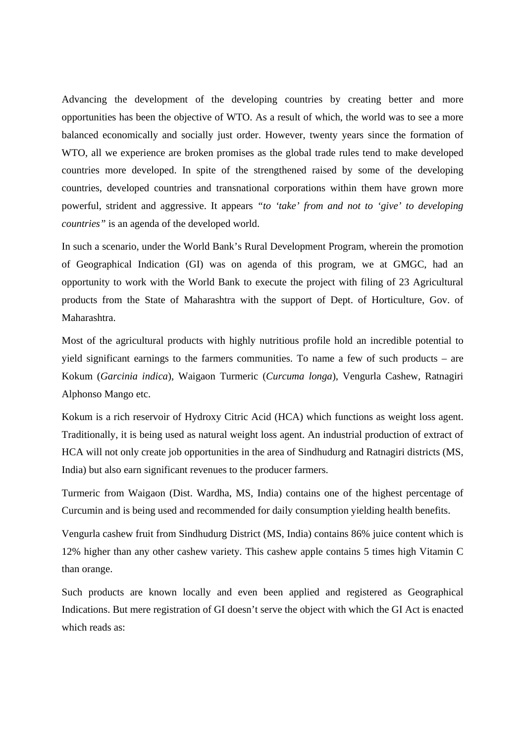Advancing the development of the developing countries by creating better and more opportunities has been the objective of WTO. As a result of which, the world was to see a more balanced economically and socially just order. However, twenty years since the formation of WTO, all we experience are broken promises as the global trade rules tend to make developed countries more developed. In spite of the strengthened raised by some of the developing countries, developed countries and transnational corporations within them have grown more powerful, strident and aggressive. It appears *"to 'take' from and not to 'give' to developing countries"* is an agenda of the developed world.

In such a scenario, under the World Bank's Rural Development Program, wherein the promotion of Geographical Indication (GI) was on agenda of this program, we at GMGC, had an opportunity to work with the World Bank to execute the project with filing of 23 Agricultural products from the State of Maharashtra with the support of Dept. of Horticulture, Gov. of Maharashtra.

Most of the agricultural products with highly nutritious profile hold an incredible potential to yield significant earnings to the farmers communities. To name a few of such products – are Kokum (*Garcinia indica*), Waigaon Turmeric (*Curcuma longa*), Vengurla Cashew, Ratnagiri Alphonso Mango etc.

Kokum is a rich reservoir of Hydroxy Citric Acid (HCA) which functions as weight loss agent. Traditionally, it is being used as natural weight loss agent. An industrial production of extract of HCA will not only create job opportunities in the area of Sindhudurg and Ratnagiri districts (MS, India) but also earn significant revenues to the producer farmers.

Turmeric from Waigaon (Dist. Wardha, MS, India) contains one of the highest percentage of Curcumin and is being used and recommended for daily consumption yielding health benefits.

Vengurla cashew fruit from Sindhudurg District (MS, India) contains 86% juice content which is 12% higher than any other cashew variety. This cashew apple contains 5 times high Vitamin C than orange.

Such products are known locally and even been applied and registered as Geographical Indications. But mere registration of GI doesn't serve the object with which the GI Act is enacted which reads as: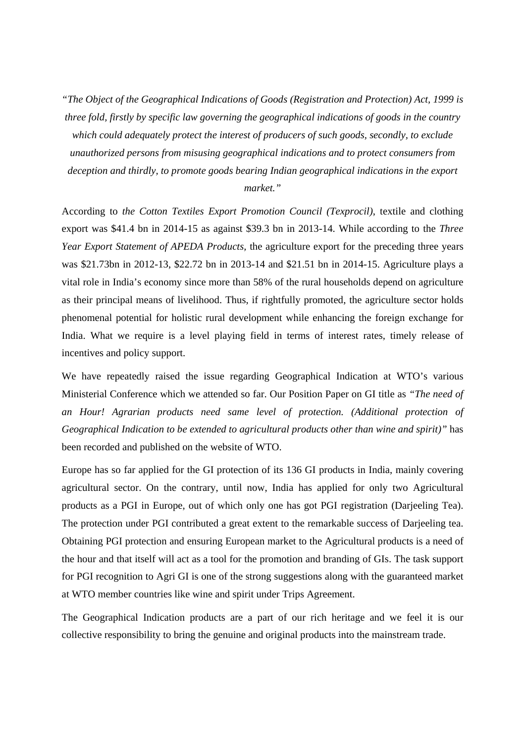*"The Object of the Geographical Indications of Goods (Registration and Protection) Act, 1999 is three fold, firstly by specific law governing the geographical indications of goods in the country which could adequately protect the interest of producers of such goods, secondly, to exclude unauthorized persons from misusing geographical indications and to protect consumers from deception and thirdly, to promote goods bearing Indian geographical indications in the export market."* 

According to *the Cotton Textiles Export Promotion Council (Texprocil)*, textile and clothing export was \$41.4 bn in 2014-15 as against \$39.3 bn in 2013-14. While according to the *Three Year Export Statement of APEDA Products,* the agriculture export for the preceding three years was \$21.73bn in 2012-13, \$22.72 bn in 2013-14 and \$21.51 bn in 2014-15. Agriculture plays a vital role in India's economy since more than 58% of the rural households depend on agriculture as their principal means of livelihood. Thus, if rightfully promoted, the agriculture sector holds phenomenal potential for holistic rural development while enhancing the foreign exchange for India. What we require is a level playing field in terms of interest rates, timely release of incentives and policy support.

We have repeatedly raised the issue regarding Geographical Indication at WTO's various Ministerial Conference which we attended so far. Our Position Paper on GI title as *"The need of an Hour! Agrarian products need same level of protection. (Additional protection of Geographical Indication to be extended to agricultural products other than wine and spirit)"* has been recorded and published on the website of WTO.

Europe has so far applied for the GI protection of its 136 GI products in India, mainly covering agricultural sector. On the contrary, until now, India has applied for only two Agricultural products as a PGI in Europe, out of which only one has got PGI registration (Darjeeling Tea). The protection under PGI contributed a great extent to the remarkable success of Darjeeling tea. Obtaining PGI protection and ensuring European market to the Agricultural products is a need of the hour and that itself will act as a tool for the promotion and branding of GIs. The task support for PGI recognition to Agri GI is one of the strong suggestions along with the guaranteed market at WTO member countries like wine and spirit under Trips Agreement.

The Geographical Indication products are a part of our rich heritage and we feel it is our collective responsibility to bring the genuine and original products into the mainstream trade.